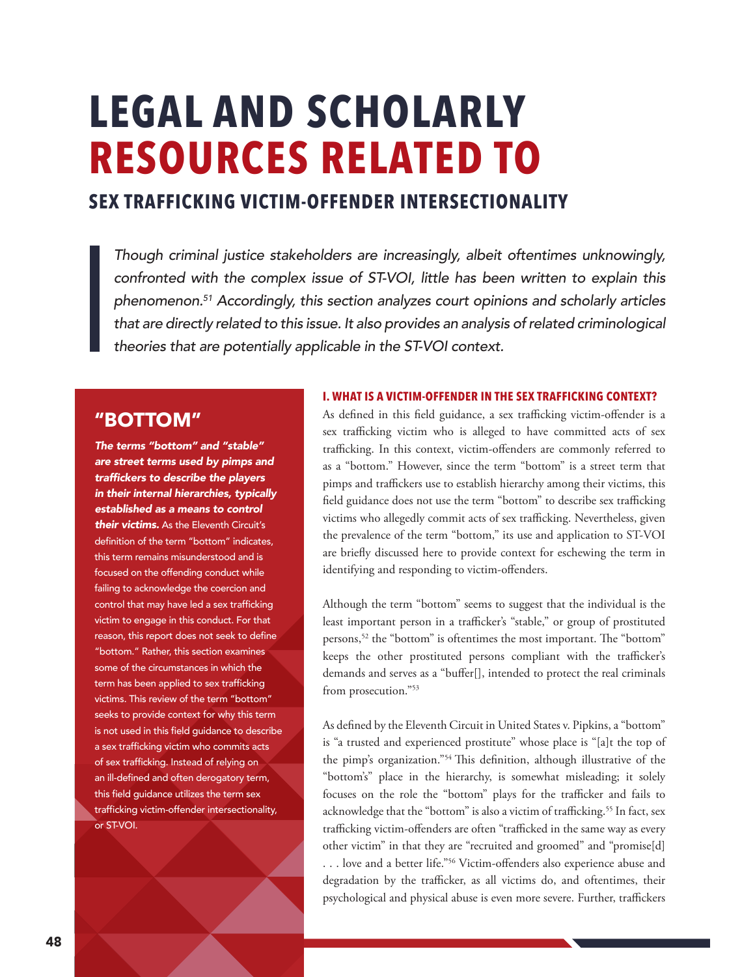# **LEGAL AND SCHOLARLY RESOURCES RELATED TO**

# **SEX TRAFFICKING VICTIM-OFFENDER INTERSECTIONALITY**

Though criminal justice stakeholders are increasingly, albeit oftentimes unknowingly, confronted with the complex issue of ST-VOI, little has been written to explain this *phenomenon.51* Accordingly, this section analyzes court opinions and scholarly articles that are directly related to this issue. It also provides an analysis of related criminological theories that are potentially applicable in the ST-VOI context.

# **"BOTTOM"**

The terms "bottom" and "stable" *are street terms used by pimps and*  traffickers to describe the players *in their internal hierarchies, typically established as a means to control their victims.* As the Eleventh Circuit's definition of the term "bottom" indicates, this term remains misunderstood and is focused on the offending conduct while failing to acknowledge the coercion and control that may have led a sex trafficking victim to engage in this conduct. For that reason, this report does not seek to define "bottom." Rather, this section examines some of the circumstances in which the term has been applied to sex trafficking victims. This review of the term "bottom" seeks to provide context for why this term is not used in this field guidance to describe a sex trafficking victim who commits acts of sex trafficking. Instead of relying on an ill-defined and often derogatory term, this field guidance utilizes the term sex trafficking victim-offender intersectionality, or ST-VOI.

## **I. WHAT IS A VICTIM-OFFENDER IN THE SEX TRAFFICKING CONTEXT?**

As defined in this field guidance, a sex trafficking victim-offender is a sex trafficking victim who is alleged to have committed acts of sex trafficking. In this context, victim-offenders are commonly referred to as a "bottom." However, since the term "bottom" is a street term that pimps and traffickers use to establish hierarchy among their victims, this field guidance does not use the term "bottom" to describe sex trafficking victims who allegedly commit acts of sex trafficking. Nevertheless, given the prevalence of the term "bottom," its use and application to ST-VOI are briefly discussed here to provide context for eschewing the term in identifying and responding to victim-offenders.

Although the term "bottom" seems to suggest that the individual is the least important person in a trafficker's "stable," or group of prostituted persons,<sup>52</sup> the "bottom" is oftentimes the most important. The "bottom" keeps the other prostituted persons compliant with the trafficker's demands and serves as a "buffer[], intended to protect the real criminals from prosecution."53

As defined by the Eleventh Circuit in United States v. Pipkins, a "bottom" is "a trusted and experienced prostitute" whose place is "[a]t the top of the pimp's organization."54 This definition, although illustrative of the "bottom's" place in the hierarchy, is somewhat misleading; it solely focuses on the role the "bottom" plays for the trafficker and fails to acknowledge that the "bottom" is also a victim of trafficking.<sup>55</sup> In fact, sex trafficking victim-offenders are often "trafficked in the same way as every other victim" in that they are "recruited and groomed" and "promise[d] . . . love and a better life."56 Victim-offenders also experience abuse and degradation by the trafficker, as all victims do, and oftentimes, their psychological and physical abuse is even more severe. Further, traffickers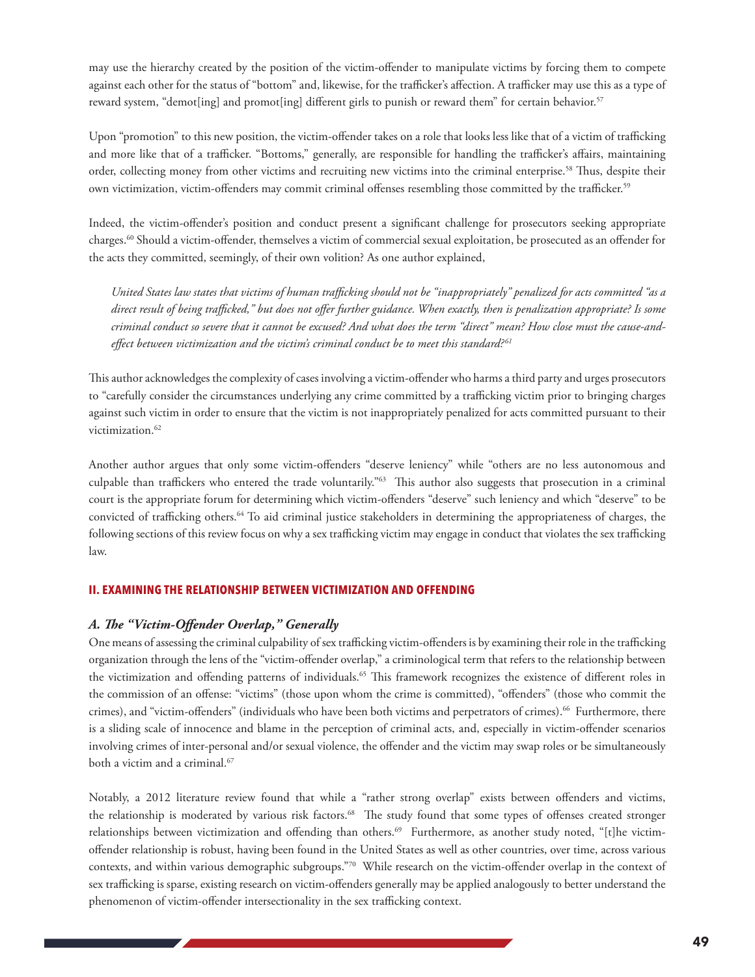may use the hierarchy created by the position of the victim-offender to manipulate victims by forcing them to compete against each other for the status of "bottom" and, likewise, for the trafficker's affection. A trafficker may use this as a type of reward system, "demot[ing] and promot[ing] different girls to punish or reward them" for certain behavior.<sup>57</sup>

Upon "promotion" to this new position, the victim-offender takes on a role that looks less like that of a victim of trafficking and more like that of a trafficker. "Bottoms," generally, are responsible for handling the trafficker's affairs, maintaining order, collecting money from other victims and recruiting new victims into the criminal enterprise.58 Thus, despite their own victimization, victim-offenders may commit criminal offenses resembling those committed by the trafficker.59

Indeed, the victim-offender's position and conduct present a significant challenge for prosecutors seeking appropriate charges.60 Should a victim-offender, themselves a victim of commercial sexual exploitation, be prosecuted as an offender for the acts they committed, seemingly, of their own volition? As one author explained,

*United States law states that victims of human trafficking should not be "inappropriately" penalized for acts committed "as a direct result of being trafficked," but does not offer further guidance. When exactly, then is penalization appropriate? Is some criminal conduct so severe that it cannot be excused? And what does the term "direct" mean? How close must the cause-andeffect between victimization and the victim's criminal conduct be to meet this standard? <sup>61</sup>*

This author acknowledges the complexity of cases involving a victim-offender who harms a third party and urges prosecutors to "carefully consider the circumstances underlying any crime committed by a trafficking victim prior to bringing charges against such victim in order to ensure that the victim is not inappropriately penalized for acts committed pursuant to their victimization.<sup>62</sup>

Another author argues that only some victim-offenders "deserve leniency" while "others are no less autonomous and culpable than traffickers who entered the trade voluntarily."63 This author also suggests that prosecution in a criminal court is the appropriate forum for determining which victim-offenders "deserve" such leniency and which "deserve" to be convicted of trafficking others.64 To aid criminal justice stakeholders in determining the appropriateness of charges, the following sections of this review focus on why a sex trafficking victim may engage in conduct that violates the sex trafficking law.

#### **II. EXAMINING THE RELATIONSHIP BETWEEN VICTIMIZATION AND OFFENDING**

#### *A. The "Victim-Offender Overlap," Generally*

One means of assessing the criminal culpability of sex trafficking victim-offenders is by examining their role in the trafficking organization through the lens of the "victim-offender overlap," a criminological term that refers to the relationship between the victimization and offending patterns of individuals.<sup>65</sup> This framework recognizes the existence of different roles in the commission of an offense: "victims" (those upon whom the crime is committed), "offenders" (those who commit the crimes), and "victim-offenders" (individuals who have been both victims and perpetrators of crimes).66 Furthermore, there is a sliding scale of innocence and blame in the perception of criminal acts, and, especially in victim-offender scenarios involving crimes of inter-personal and/or sexual violence, the offender and the victim may swap roles or be simultaneously both a victim and a criminal.<sup>67</sup>

Notably, a 2012 literature review found that while a "rather strong overlap" exists between offenders and victims, the relationship is moderated by various risk factors.<sup>68</sup> The study found that some types of offenses created stronger relationships between victimization and offending than others.69 Furthermore, as another study noted, "[t]he victimoffender relationship is robust, having been found in the United States as well as other countries, over time, across various contexts, and within various demographic subgroups."70 While research on the victim-offender overlap in the context of sex trafficking is sparse, existing research on victim-offenders generally may be applied analogously to better understand the phenomenon of victim-offender intersectionality in the sex trafficking context.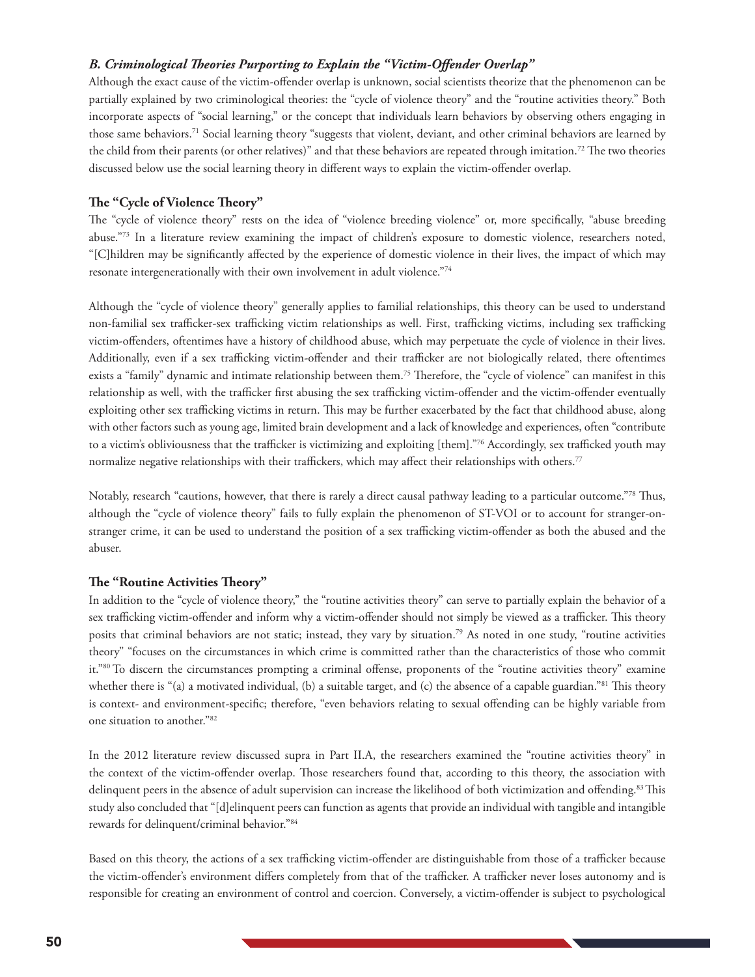### *B. Criminological Theories Purporting to Explain the "Victim-Offender Overlap"*

Although the exact cause of the victim-offender overlap is unknown, social scientists theorize that the phenomenon can be partially explained by two criminological theories: the "cycle of violence theory" and the "routine activities theory." Both incorporate aspects of "social learning," or the concept that individuals learn behaviors by observing others engaging in those same behaviors.71 Social learning theory "suggests that violent, deviant, and other criminal behaviors are learned by the child from their parents (or other relatives)" and that these behaviors are repeated through imitation.<sup>72</sup> The two theories discussed below use the social learning theory in different ways to explain the victim-offender overlap.

#### **The "Cycle of Violence Theory"**

The "cycle of violence theory" rests on the idea of "violence breeding violence" or, more specifically, "abuse breeding abuse."73 In a literature review examining the impact of children's exposure to domestic violence, researchers noted, "[C]hildren may be significantly affected by the experience of domestic violence in their lives, the impact of which may resonate intergenerationally with their own involvement in adult violence."74

Although the "cycle of violence theory" generally applies to familial relationships, this theory can be used to understand non-familial sex trafficker-sex trafficking victim relationships as well. First, trafficking victims, including sex trafficking victim-offenders, oftentimes have a history of childhood abuse, which may perpetuate the cycle of violence in their lives. Additionally, even if a sex trafficking victim-offender and their trafficker are not biologically related, there oftentimes exists a "family" dynamic and intimate relationship between them.75 Therefore, the "cycle of violence" can manifest in this relationship as well, with the trafficker first abusing the sex trafficking victim-offender and the victim-offender eventually exploiting other sex trafficking victims in return. This may be further exacerbated by the fact that childhood abuse, along with other factors such as young age, limited brain development and a lack of knowledge and experiences, often "contribute to a victim's obliviousness that the trafficker is victimizing and exploiting [them]."76 Accordingly, sex trafficked youth may normalize negative relationships with their traffickers, which may affect their relationships with others.77

Notably, research "cautions, however, that there is rarely a direct causal pathway leading to a particular outcome."78 Thus, although the "cycle of violence theory" fails to fully explain the phenomenon of ST-VOI or to account for stranger-onstranger crime, it can be used to understand the position of a sex trafficking victim-offender as both the abused and the abuser.

#### **The "Routine Activities Theory"**

In addition to the "cycle of violence theory," the "routine activities theory" can serve to partially explain the behavior of a sex trafficking victim-offender and inform why a victim-offender should not simply be viewed as a trafficker. This theory posits that criminal behaviors are not static; instead, they vary by situation.79 As noted in one study, "routine activities theory" "focuses on the circumstances in which crime is committed rather than the characteristics of those who commit it."80 To discern the circumstances prompting a criminal offense, proponents of the "routine activities theory" examine whether there is "(a) a motivated individual, (b) a suitable target, and (c) the absence of a capable guardian."<sup>81</sup> This theory is context- and environment-specific; therefore, "even behaviors relating to sexual offending can be highly variable from one situation to another."82

In the 2012 literature review discussed supra in Part II.A, the researchers examined the "routine activities theory" in the context of the victim-offender overlap. Those researchers found that, according to this theory, the association with delinquent peers in the absence of adult supervision can increase the likelihood of both victimization and offending.<sup>83</sup> This study also concluded that "[d]elinquent peers can function as agents that provide an individual with tangible and intangible rewards for delinquent/criminal behavior."84

Based on this theory, the actions of a sex trafficking victim-offender are distinguishable from those of a trafficker because the victim-offender's environment differs completely from that of the trafficker. A trafficker never loses autonomy and is responsible for creating an environment of control and coercion. Conversely, a victim-offender is subject to psychological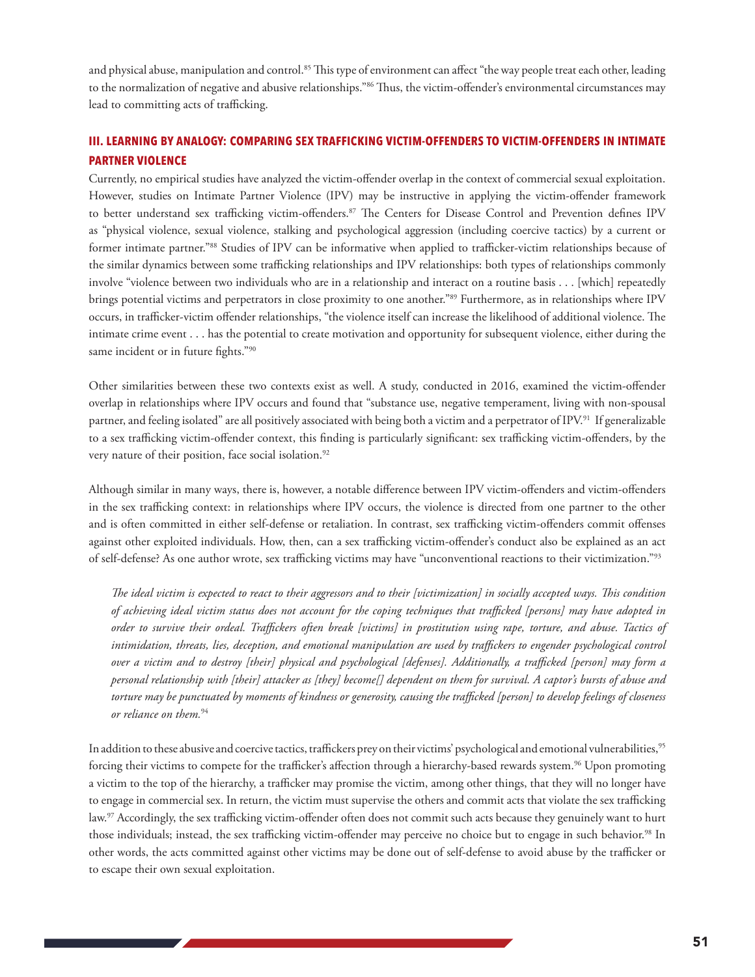and physical abuse, manipulation and control.<sup>85</sup> This type of environment can affect "the way people treat each other, leading to the normalization of negative and abusive relationships."<sup>86</sup> Thus, the victim-offender's environmental circumstances may lead to committing acts of trafficking.

# **III. LEARNING BY ANALOGY: COMPARING SEX TRAFFICKING VICTIM-OFFENDERS TO VICTIM-OFFENDERS IN INTIMATE PARTNER VIOLENCE**

Currently, no empirical studies have analyzed the victim-offender overlap in the context of commercial sexual exploitation. However, studies on Intimate Partner Violence (IPV) may be instructive in applying the victim-offender framework to better understand sex trafficking victim-offenders.<sup>87</sup> The Centers for Disease Control and Prevention defines IPV as "physical violence, sexual violence, stalking and psychological aggression (including coercive tactics) by a current or former intimate partner."88 Studies of IPV can be informative when applied to trafficker-victim relationships because of the similar dynamics between some trafficking relationships and IPV relationships: both types of relationships commonly involve "violence between two individuals who are in a relationship and interact on a routine basis . . . [which] repeatedly brings potential victims and perpetrators in close proximity to one another."89 Furthermore, as in relationships where IPV occurs, in trafficker-victim offender relationships, "the violence itself can increase the likelihood of additional violence. The intimate crime event . . . has the potential to create motivation and opportunity for subsequent violence, either during the same incident or in future fights."90

Other similarities between these two contexts exist as well. A study, conducted in 2016, examined the victim-offender overlap in relationships where IPV occurs and found that "substance use, negative temperament, living with non-spousal partner, and feeling isolated" are all positively associated with being both a victim and a perpetrator of IPV.91 If generalizable to a sex trafficking victim-offender context, this finding is particularly significant: sex trafficking victim-offenders, by the very nature of their position, face social isolation.<sup>92</sup>

Although similar in many ways, there is, however, a notable difference between IPV victim-offenders and victim-offenders in the sex trafficking context: in relationships where IPV occurs, the violence is directed from one partner to the other and is often committed in either self-defense or retaliation. In contrast, sex trafficking victim-offenders commit offenses against other exploited individuals. How, then, can a sex trafficking victim-offender's conduct also be explained as an act of self-defense? As one author wrote, sex trafficking victims may have "unconventional reactions to their victimization."93

*The ideal victim is expected to react to their aggressors and to their [victimization] in socially accepted ways. This condition of achieving ideal victim status does not account for the coping techniques that trafficked [persons] may have adopted in order to survive their ordeal. Traffickers often break [victims] in prostitution using rape, torture, and abuse. Tactics of intimidation, threats, lies, deception, and emotional manipulation are used by traffickers to engender psychological control over a victim and to destroy [their] physical and psychological [defenses]. Additionally, a trafficked [person] may form a personal relationship with [their] attacker as [they] become[] dependent on them for survival. A captor's bursts of abuse and torture may be punctuated by moments of kindness or generosity, causing the trafficked [person] to develop feelings of closeness or reliance on them.*94

In addition to these abusive and coercive tactics, traffickers prey on their victims' psychological and emotional vulnerabilities,<sup>95</sup> forcing their victims to compete for the trafficker's affection through a hierarchy-based rewards system.<sup>96</sup> Upon promoting a victim to the top of the hierarchy, a trafficker may promise the victim, among other things, that they will no longer have to engage in commercial sex. In return, the victim must supervise the others and commit acts that violate the sex trafficking law.<sup>97</sup> Accordingly, the sex trafficking victim-offender often does not commit such acts because they genuinely want to hurt those individuals; instead, the sex trafficking victim-offender may perceive no choice but to engage in such behavior.<sup>98</sup> In other words, the acts committed against other victims may be done out of self-defense to avoid abuse by the trafficker or to escape their own sexual exploitation.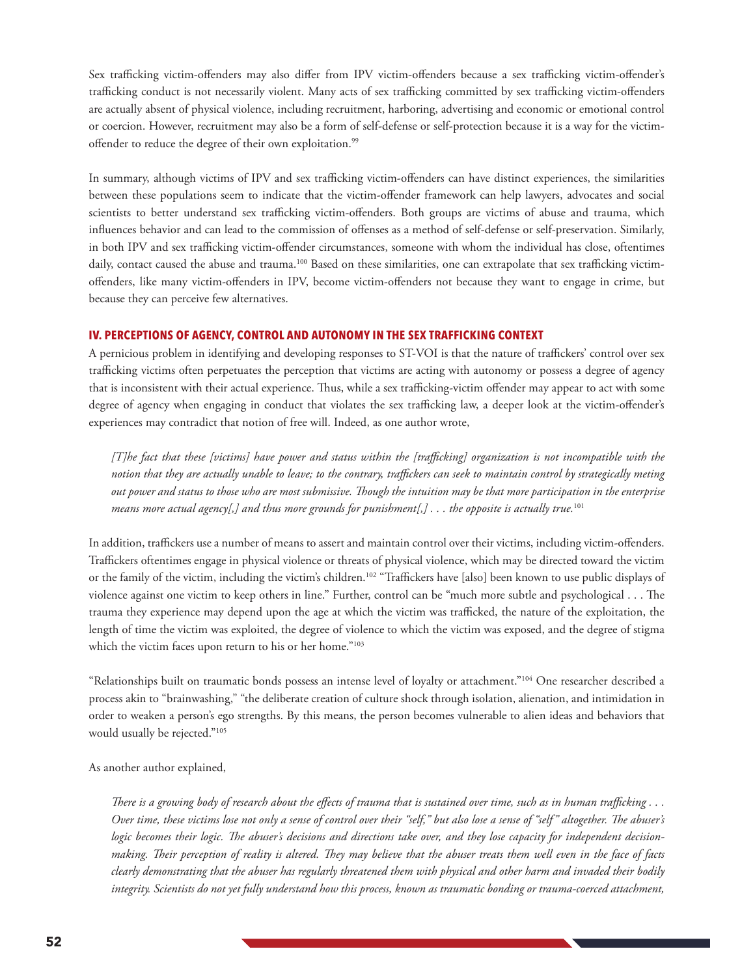Sex trafficking victim-offenders may also differ from IPV victim-offenders because a sex trafficking victim-offender's trafficking conduct is not necessarily violent. Many acts of sex trafficking committed by sex trafficking victim-offenders are actually absent of physical violence, including recruitment, harboring, advertising and economic or emotional control or coercion. However, recruitment may also be a form of self-defense or self-protection because it is a way for the victimoffender to reduce the degree of their own exploitation.<sup>99</sup>

In summary, although victims of IPV and sex trafficking victim-offenders can have distinct experiences, the similarities between these populations seem to indicate that the victim-offender framework can help lawyers, advocates and social scientists to better understand sex trafficking victim-offenders. Both groups are victims of abuse and trauma, which influences behavior and can lead to the commission of offenses as a method of self-defense or self-preservation. Similarly, in both IPV and sex trafficking victim-offender circumstances, someone with whom the individual has close, oftentimes daily, contact caused the abuse and trauma.<sup>100</sup> Based on these similarities, one can extrapolate that sex trafficking victimoffenders, like many victim-offenders in IPV, become victim-offenders not because they want to engage in crime, but because they can perceive few alternatives.

#### **IV. PERCEPTIONS OF AGENCY, CONTROL AND AUTONOMY IN THE SEX TRAFFICKING CONTEXT**

A pernicious problem in identifying and developing responses to ST-VOI is that the nature of traffickers' control over sex trafficking victims often perpetuates the perception that victims are acting with autonomy or possess a degree of agency that is inconsistent with their actual experience. Thus, while a sex trafficking-victim offender may appear to act with some degree of agency when engaging in conduct that violates the sex trafficking law, a deeper look at the victim-offender's experiences may contradict that notion of free will. Indeed, as one author wrote,

*[T]he fact that these [victims] have power and status within the [trafficking] organization is not incompatible with the notion that they are actually unable to leave; to the contrary, traffickers can seek to maintain control by strategically meting out power and status to those who are most submissive. Though the intuition may be that more participation in the enterprise means more actual agency[,] and thus more grounds for punishment[,] . . . the opposite is actually true.*101

In addition, traffickers use a number of means to assert and maintain control over their victims, including victim-offenders. Traffickers oftentimes engage in physical violence or threats of physical violence, which may be directed toward the victim or the family of the victim, including the victim's children.102 "Traffickers have [also] been known to use public displays of violence against one victim to keep others in line." Further, control can be "much more subtle and psychological . . . The trauma they experience may depend upon the age at which the victim was trafficked, the nature of the exploitation, the length of time the victim was exploited, the degree of violence to which the victim was exposed, and the degree of stigma which the victim faces upon return to his or her home."103

"Relationships built on traumatic bonds possess an intense level of loyalty or attachment."104 One researcher described a process akin to "brainwashing," "the deliberate creation of culture shock through isolation, alienation, and intimidation in order to weaken a person's ego strengths. By this means, the person becomes vulnerable to alien ideas and behaviors that would usually be rejected."105

As another author explained,

*There is a growing body of research about the effects of trauma that is sustained over time, such as in human trafficking . . . Over time, these victims lose not only a sense of control over their "self," but also lose a sense of "self" altogether. The abuser's logic becomes their logic. The abuser's decisions and directions take over, and they lose capacity for independent decisionmaking. Their perception of reality is altered. They may believe that the abuser treats them well even in the face of facts clearly demonstrating that the abuser has regularly threatened them with physical and other harm and invaded their bodily integrity. Scientists do not yet fully understand how this process, known as traumatic bonding or trauma-coerced attachment,*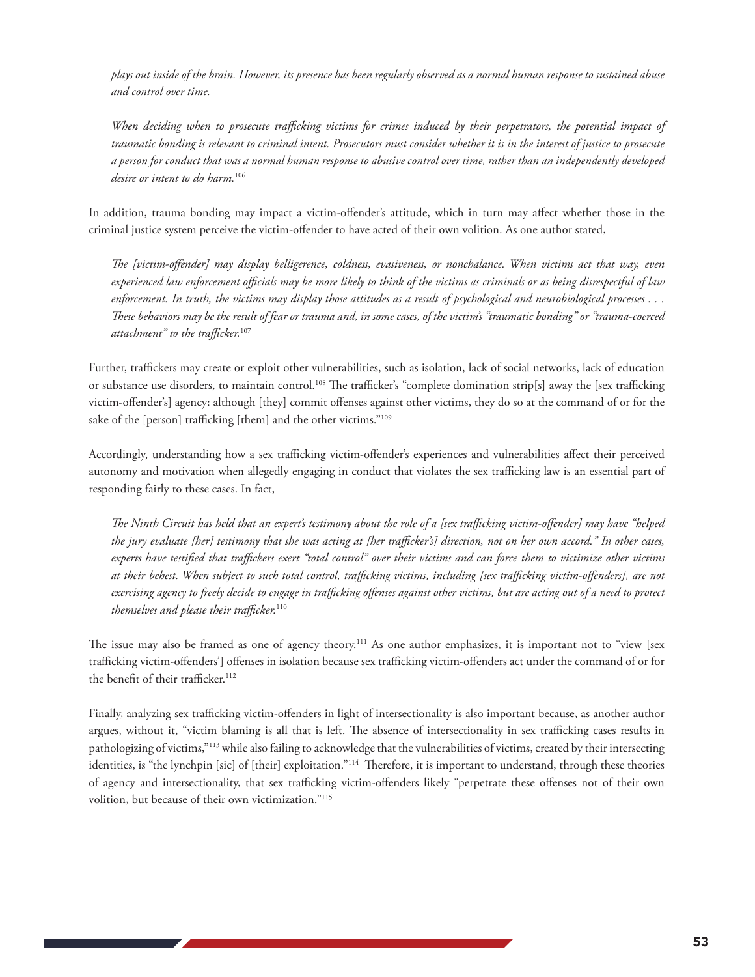*plays out inside of the brain. However, its presence has been regularly observed as a normal human response to sustained abuse and control over time.* 

*When deciding when to prosecute trafficking victims for crimes induced by their perpetrators, the potential impact of traumatic bonding is relevant to criminal intent. Prosecutors must consider whether it is in the interest of justice to prosecute a person for conduct that was a normal human response to abusive control over time, rather than an independently developed desire or intent to do harm.*<sup>106</sup>

In addition, trauma bonding may impact a victim-offender's attitude, which in turn may affect whether those in the criminal justice system perceive the victim-offender to have acted of their own volition. As one author stated,

*The [victim-offender] may display belligerence, coldness, evasiveness, or nonchalance. When victims act that way, even experienced law enforcement officials may be more likely to think of the victims as criminals or as being disrespectful of law enforcement. In truth, the victims may display those attitudes as a result of psychological and neurobiological processes . . . These behaviors may be the result of fear or trauma and, in some cases, of the victim's "traumatic bonding" or "trauma-coerced attachment" to the trafficker.*<sup>107</sup>

Further, traffickers may create or exploit other vulnerabilities, such as isolation, lack of social networks, lack of education or substance use disorders, to maintain control.<sup>108</sup> The trafficker's "complete domination strip[s] away the [sex trafficking victim-offender's] agency: although [they] commit offenses against other victims, they do so at the command of or for the sake of the [person] trafficking [them] and the other victims."109

Accordingly, understanding how a sex trafficking victim-offender's experiences and vulnerabilities affect their perceived autonomy and motivation when allegedly engaging in conduct that violates the sex trafficking law is an essential part of responding fairly to these cases. In fact,

*The Ninth Circuit has held that an expert's testimony about the role of a [sex trafficking victim-offender] may have "helped the jury evaluate [her] testimony that she was acting at [her trafficker's] direction, not on her own accord." In other cases, experts have testified that traffickers exert "total control" over their victims and can force them to victimize other victims at their behest. When subject to such total control, trafficking victims, including [sex trafficking victim-offenders], are not exercising agency to freely decide to engage in trafficking offenses against other victims, but are acting out of a need to protect themselves and please their trafficker.*<sup>110</sup>

The issue may also be framed as one of agency theory.<sup>111</sup> As one author emphasizes, it is important not to "view [sex trafficking victim-offenders'] offenses in isolation because sex trafficking victim-offenders act under the command of or for the benefit of their trafficker.<sup>112</sup>

Finally, analyzing sex trafficking victim-offenders in light of intersectionality is also important because, as another author argues, without it, "victim blaming is all that is left. The absence of intersectionality in sex trafficking cases results in pathologizing of victims,"113 while also failing to acknowledge that the vulnerabilities of victims, created by their intersecting identities, is "the lynchpin [sic] of [their] exploitation."<sup>114</sup> Therefore, it is important to understand, through these theories of agency and intersectionality, that sex trafficking victim-offenders likely "perpetrate these offenses not of their own volition, but because of their own victimization."115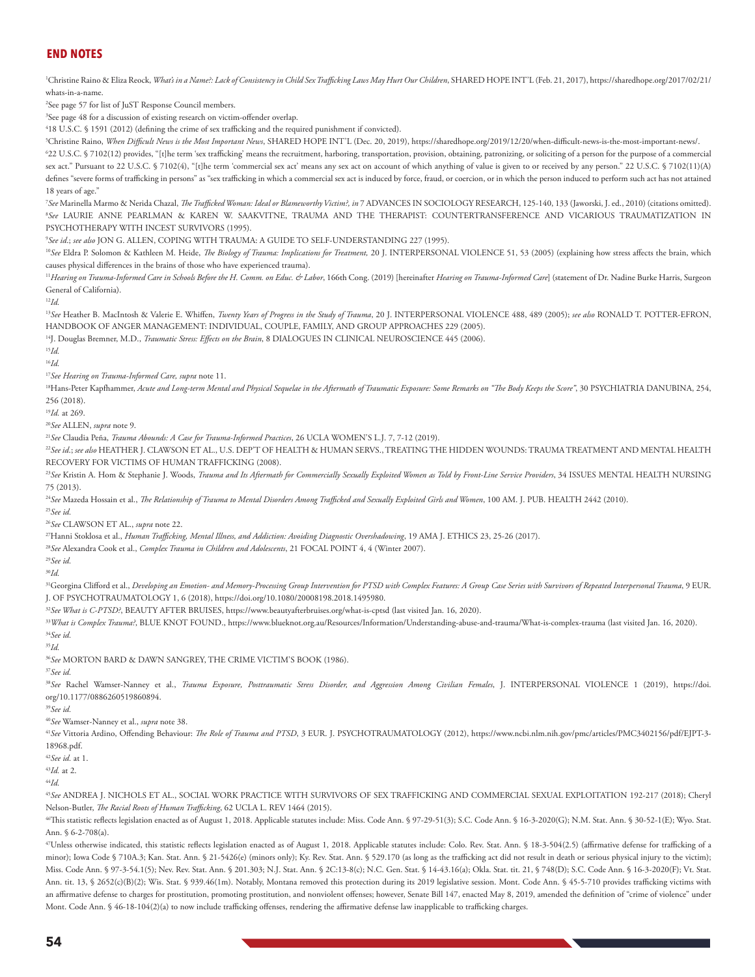## **END NOTES**

1 Christine Raino & Eliza Reock, *What's in a Name?: Lack of Consistency in Child Sex Trafficking Laws May Hurt Our Children*, SHARED HOPE INT'L (Feb. 21, 2017), https://sharedhope.org/2017/02/21/ whats-in-a-name.

2 See page 57 for list of JuST Response Council members.

3 See page 48 for a discussion of existing research on victim-offender overlap.

4 18 U.S.C. § 1591 (2012) (defining the crime of sex trafficking and the required punishment if convicted).

5 Christine Raino, *When Difficult News is the Most Important News*, SHARED HOPE INT'L (Dec. 20, 2019), https://sharedhope.org/2019/12/20/when-difficult-news-is-the-most-important-news/.

6 22 U.S.C. § 7102(12) provides, "[t]he term 'sex trafficking' means the recruitment, harboring, transportation, provision, obtaining, patronizing, or soliciting of a person for the purpose of a commercial sex act." Pursuant to 22 U.S.C. § 7102(4), "[t]he term 'commercial sex act' means any sex act on account of which anything of value is given to or received by any person." 22 U.S.C. § 7102(11)(A) defines "severe forms of trafficking in persons" as "sex trafficking in which a commercial sex act is induced by force, fraud, or coercion, or in which the person induced to perform such act has not attained 18 years of age."

7 *See* Marinella Marmo & Nerida Chazal, *The Trafficked Woman: Ideal or Blameworthy Victim?, in* 7 ADVANCES IN SOCIOLOGY RESEARCH, 125-140, 133 (Jaworski, J. ed., 2010) (citations omitted). 8 *See* LAURIE ANNE PEARLMAN & KAREN W. SAAKVITNE, TRAUMA AND THE THERAPIST: COUNTERTRANSFERENCE AND VICARIOUS TRAUMATIZATION IN PSYCHOTHERAPY WITH INCEST SURVIVORS (1995).

9 *See id*.; *see also* JON G. ALLEN, COPING WITH TRAUMA: A GUIDE TO SELF-UNDERSTANDING 227 (1995).

<sup>10</sup>See Eldra P. Solomon & Kathleen M. Heide, *The Biology of Trauma: Implications for Treatment*, 20 J. INTERPERSONAL VIOLENCE 51, 53 (2005) (explaining how stress affects the brain, which causes physical differences in the brains of those who have experienced trauma).

<sup>11</sup>Hearing on Trauma-Informed Care in Schools Before the H. Comm. on Educ. & Labor, 166th Cong. (2019) [hereinafter Hearing on Trauma-Informed Care] (statement of Dr. Nadine Burke Harris, Surgeon General of California).

<sup>12</sup>*Id.*

<sup>13</sup>*See* Heather B. MacIntosh & Valerie E. Whiffen, *Twenty Years of Progress in the Study of Trauma*, 20 J. INTERPERSONAL VIOLENCE 488, 489 (2005); *see also* RONALD T. POTTER-EFRON, HANDBOOK OF ANGER MANAGEMENT: INDIVIDUAL, COUPLE, FAMILY, AND GROUP APPROACHES 229 (2005).

14J. Douglas Bremner, M.D., *Traumatic Stress: Effects on the Brain*, 8 DIALOGUES IN CLINICAL NEUROSCIENCE 445 (2006).

<sup>15</sup>*Id.*

<sup>16</sup>*Id.*

<sup>17</sup>*See Hearing on Trauma-Informed Care, supra* note 11.

<sup>18</sup>Hans-Peter Kapfhammer, Acute and Long-term Mental and Physical Sequelae in the Aftermath of Traumatic Exposure: Some Remarks on "The Body Keeps the Score", 30 PSYCHIATRIA DANUBINA, 254, 256 (2018).

<sup>19</sup>*Id.* at 269.

<sup>20</sup>*See* ALLEN, *supra* note 9.

<sup>21</sup>*See* Claudia Peña, *Trauma Abounds: A Case for Trauma-Informed Practices*, 26 UCLA WOMEN'S L.J. 7, 7-12 (2019).

<sup>22</sup>*See id*.; *see also* HEATHER J. CLAWSON ET AL., U.S. DEP'T OF HEALTH & HUMAN SERVS., TREATING THE HIDDEN WOUNDS: TRAUMA TREATMENT AND MENTAL HEALTH RECOVERY FOR VICTIMS OF HUMAN TRAFFICKING (2008).

<sup>23</sup>See Kristin A. Hom & Stephanie J. Woods, Trauma and Its Aftermath for Commercially Sexually Exploited Women as Told by Front-Line Service Providers, 34 ISSUES MENTAL HEALTH NURSING 75 (2013).

<sup>24</sup>*See* Mazeda Hossain et al., *The Relationship of Trauma to Mental Disorders Among Trafficked and Sexually Exploited Girls and Women*, 100 AM. J. PUB. HEALTH 2442 (2010). <sup>25</sup>*See id.*

<sup>26</sup>*See* CLAWSON ET AL., *supra* note 22.

27Hanni Stoklosa et al., *Human Trafficking, Mental Illness, and Addiction: Avoiding Diagnostic Overshadowing*, 19 AMA J. ETHICS 23, 25-26 (2017).

<sup>28</sup>*See* Alexandra Cook et al., *Complex Trauma in Children and Adolescents*, 21 FOCAL POINT 4, 4 (Winter 2007).

<sup>29</sup>*See id.*

<sup>30</sup>*Id.*

<sup>31</sup>Georgina Clifford et al., *Developing an Emotion- and Memory-Processing Group Intervention for PTSD with Complex Features: A Group Case Series with Survivors of Repeated Interpersonal Trauma, 9 EUR.* J. OF PSYCHOTRAUMATOLOGY 1, 6 (2018), https://doi.org/10.1080/20008198.2018.1495980.

<sup>32</sup>See What is C-PTSD?, BEAUTY AFTER BRUISES, https://www.beautyafterbruises.org/what-is-cptsd (last visited Jan. 16, 2020).

<sup>33</sup>*What is Complex Trauma?*, BLUE KNOT FOUND., https://www.blueknot.org.au/Resources/Information/Understanding-abuse-and-trauma/What-is-complex-trauma (last visited Jan. 16, 2020). <sup>34</sup>*See id.*

<sup>35</sup>*Id.*

<sup>36</sup>*See* MORTON BARD & DAWN SANGREY, THE CRIME VICTIM'S BOOK (1986).

<sup>37</sup>*See id.*

<sup>38</sup>*See* Rachel Wamser-Nanney et al., *Trauma Exposure, Posttraumatic Stress Disorder, and Aggression Among Civilian Females*, J. INTERPERSONAL VIOLENCE 1 (2019), https://doi. org/10.1177/0886260519860894.

<sup>39</sup>*See id.*

<sup>40</sup>*See* Wamser-Nanney et al., *supra* note 38.

<sup>41</sup>*See* Vittoria Ardino, Offending Behaviour: *The Role of Trauma and PTSD*, 3 EUR. J. PSYCHOTRAUMATOLOGY (2012), https://www.ncbi.nlm.nih.gov/pmc/articles/PMC3402156/pdf/EJPT-3- 18968.pdf.

<sup>42</sup>*See id.* at 1.

<sup>43</sup>*Id.* at 2.

<sup>44</sup>*Id.*

<sup>45</sup>*See* ANDREA J. NICHOLS ET AL., SOCIAL WORK PRACTICE WITH SURVIVORS OF SEX TRAFFICKING AND COMMERCIAL SEXUAL EXPLOITATION 192-217 (2018); Cheryl Nelson-Butler, *The Racial Roots of Human Trafficking*, 62 UCLA L. REV 1464 (2015).

46This statistic reflects legislation enacted as of August 1, 2018. Applicable statutes include: Miss. Code Ann. § 97-29-51(3); S.C. Code Ann. § 16-3-2020(G); N.M. Stat. Ann. § 30-52-1(E); Wyo. Stat. Ann. § 6-2-708(a).

47Unless otherwise indicated, this statistic reflects legislation enacted as of August 1, 2018. Applicable statutes include: Colo. Rev. Stat. Ann. § 18-3-504(2.5) (affirmative defense for trafficking of a minor); Iowa Code § 710A.3; Kan. Stat. Ann. § 21-5426(e) (minors only); Ky. Rev. Stat. Ann. § 529.170 (as long as the trafficking act did not result in death or serious physical injury to the victim); Miss. Code Ann. § 97-3-54.1(5); Nev. Rev. Stat. Ann. § 201.303; N.J. Stat. Ann. § 2C:13-8(c); N.C. Gen. Stat. § 14-43.16(a); Okla. Stat. tit. 21, § 748(D); S.C. Code Ann. § 16-3-2020(F); Vt. Stat. Ann. tit. 13, § 2652(c)(B)(2); Wis. Stat. § 939.46(1m). Notably, Montana removed this protection during its 2019 legislative session. Mont. Code Ann. § 45-5-710 provides trafficking victims with an affirmative defense to charges for prostitution, promoting prostitution, and nonviolent offenses; however, Senate Bill 147, enacted May 8, 2019, amended the definition of "crime of violence" under Mont. Code Ann. § 46-18-104(2)(a) to now include trafficking offenses, rendering the affirmative defense law inapplicable to trafficking charges.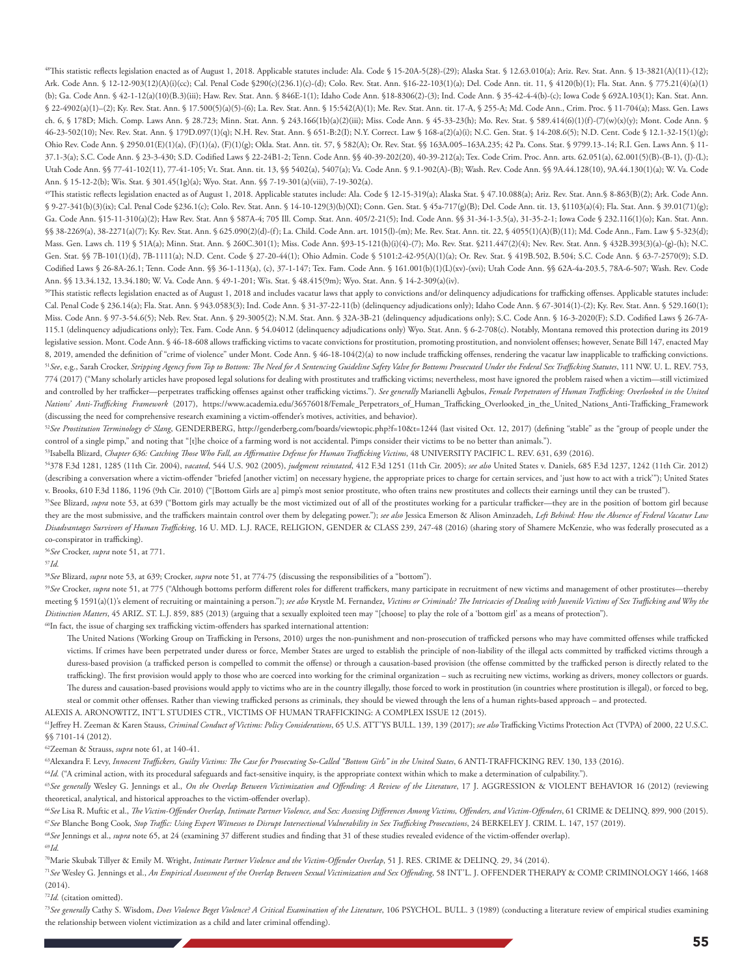48This statistic reflects legislation enacted as of August 1, 2018. Applicable statutes include: Ala. Code § 15-20A-5(28)-(29); Alaska Stat. § 12.63.010(a); Ariz. Rev. Stat. Ann. § 13-3821(A)(11)-(12); Ark. Code Ann. § 12-12-903(12)(A)(i)(cc); Cal. Penal Code §290(c)(236.1)(c)-(d); Colo. Rev. Stat. Ann. §16-22-103(1)(a); Del. Code Ann. tit. 11, § 4120(b)(1); Fla. Stat. Ann. § 775.21(4)(a)(1) (b); Ga. Code Ann. § 42-1-12(a)(10)(B.3)(iii); Haw. Rev. Stat. Ann. § 846E-1(1); Idaho Code Ann. §18-8306(2)-(3); Ind. Code Ann. § 35-42-4-4(b)-(c); Iowa Code § 692A.103(1); Kan. Stat. Ann. § 22-4902(a)(1)-(2); Ky. Rev. Stat. Ann. § 17.500(5)(a)(5)-(6); La. Rev. Stat. Ann. § 15:542(A)(1); Me. Rev. Stat. Ann. tit. 17-A, § 255-A; Md. Code Ann., Crim. Proc. § 11-704(a); Mass. Gen. Laws ch. 6, § 178D; Mich. Comp. Laws Ann. § 28.723; Minn. Stat. Ann. § 243.166(1b)(a)(2)(iii); Miss. Code Ann. § 45-33-23(h); Mo. Rev. Stat. § 589.414(6)(1)(f)-(7)(w)(x)(y); Mont. Code Ann. § 46-23-502(10); Nev. Rev. Stat. Ann. § 179D.097(1)(q); N.H. Rev. Stat. Ann. § 651-B:2(I); N.Y. Correct. Law § 168-a(2)(a)(i); N.C. Gen. Stat. § 14-208.6(5); N.D. Cent. Code § 12.1-32-15(1)(g); Ohio Rev. Code Ann. § 2950.01(E)(1)(a), (F)(1)(a), (F)(1)(g); Okla. Stat. Ann. tit. 57, § 582(A); Or. Rev. Stat. §§ 163A.005–163A.235; 42 Pa. Cons. Stat. § 9799.13-.14; R.I. Gen. Laws Ann. § 11- 37.1-3(a); S.C. Code Ann. § 23-3-430; S.D. Codified Laws § 22-24B1-2; Tenn. Code Ann. §§ 40-39-202(20), 40-39-212(a); Tex. Code Crim. Proc. Ann. arts. 62.051(a), 62.001(5)(B)-(B-1), (J)-(L); Utah Code Ann. §§ 77-41-102(11), 77-41-105; Vt. Stat. Ann. tit. 13, §§ 5402(a), 5407(a); Va. Code Ann. § 9.1-902(A)-(B); Wash. Rev. Code Ann. §§ 9A.44.128(10), 9A.44.130(1)(a); W. Va. Code Ann. § 15-12-2(b); Wis. Stat. § 301.45(1g)(a); Wyo. Stat. Ann. §§ 7-19-301(a)(viii), 7-19-302(a).

49This statistic reflects legislation enacted as of August 1, 2018. Applicable statutes include: Ala. Code § 12-15-319(a); Alaska Stat. § 47.10.088(a); Ariz. Rev. Stat. Ann.§ 8-863(B)(2); Ark. Code Ann. § 9-27-341(b)(3)(ix); Cal. Penal Code §236.1(c); Colo. Rev. Stat. Ann. § 14-10-129(3)(b)(XI); Conn. Gen. Stat. § 45a-717(g)(B); Del. Code Ann. tit. 13, §1103(a)(4); Fla. Stat. Ann. § 39.01(71)(g); Ga. Code Ann. §15-11-310(a)(2); Haw Rev. Stat. Ann § 587A-4; 705 Ill. Comp. Stat. Ann. 405/2-21(5); Ind. Code Ann. §§ 31-34-1-3.5(a), 31-35-2-1; Iowa Code § 232.116(1)(o); Kan. Stat. Ann. §§ 38-2269(a), 38-2271(a)(7); Ky. Rev. Stat. Ann. § 625.090(2)(d)-(f); La. Child. Code Ann. art. 1015(l)-(m); Me. Rev. Stat. Ann. tit. 22, § 4055(1)(A)(B)(11); Md. Code Ann., Fam. Law § 5-323(d); Mass. Gen. Laws ch. 119 § 51A(a); Minn. Stat. Ann. § 260C.301(1); Miss. Code Ann. §93-15-121(h)(i)(4)-(7); Mo. Rev. Stat. §211.447(2)(4); Nev. Rev. Stat. Ann. § 432B.393(3)(a)-(g)-(h); N.C. Gen. Stat. §§ 7B-101(1)(d), 7B-1111(a); N.D. Cent. Code § 27-20-44(1); Ohio Admin. Code § 5101:2-42-95(A)(1)(a); Or. Rev. Stat. § 419B.502, B.504; S.C. Code Ann. § 63-7-2570(9); S.D. Codified Laws § 26-8A-26.1; Tenn. Code Ann. §§ 36-1-113(a), (c), 37-1-147; Tex. Fam. Code Ann. § 161.001(b)(1)(L)(xv)-(xvi); Utah Code Ann. §§ 62A-4a-203.5, 78A-6-507; Wash. Rev. Code Ann. §§ 13.34.132, 13.34.180; W. Va. Code Ann. § 49-1-201; Wis. Stat. § 48.415(9m); Wyo. Stat. Ann. § 14-2-309(a)(iv).

50This statistic reflects legislation enacted as of August 1, 2018 and includes vacatur laws that apply to convictions and/or delinquency adjudications for trafficking offenses. Applicable statutes include: Cal. Penal Code § 236.14(a); Fla. Stat. Ann. § 943.0583(3); Ind. Code Ann. § 31-37-22-11(b) (delinquency adjudications only); Idaho Code Ann. § 67-3014(1)-(2); Ky. Rev. Stat. Ann. § 529.160(1); Miss. Code Ann. § 97-3-54.6(5); Neb. Rev. Stat. Ann. § 29-3005(2); N.M. Stat. Ann. § 32A-3B-21 (delinquency adjudications only); S.C. Code Ann. § 16-3-2020(F); S.D. Codified Laws § 26-7A-115.1 (delinquency adjudications only); Tex. Fam. Code Ann. § 54.04012 (delinquency adjudications only) Wyo. Stat. Ann. § 6-2-708(c). Notably, Montana removed this protection during its 2019 legislative session. Mont. Code Ann. § 46-18-608 allows trafficking victims to vacate convictions for prostitution, promoting prostitution, and nonviolent offenses; however, Senate Bill 147, enacted May 8, 2019, amended the definition of "crime of violence" under Mont. Code Ann. § 46-18-104(2)(a) to now include trafficking offenses, rendering the vacatur law inapplicable to trafficking convictions. <sup>51</sup>*See*, e.g., Sarah Crocker, *Stripping Agency from Top to Bottom: The Need for A Sentencing Guideline Safety Valve for Bottoms Prosecuted Under the Federal Sex Trafficking Statutes*, 111 NW. U. L. REV. 753, 774 (2017) ("Many scholarly articles have proposed legal solutions for dealing with prostitutes and trafficking victims; nevertheless, most have ignored the problem raised when a victim—still victimized and controlled by her trafficker—perpetrates trafficking offenses against other trafficking victims."). *See generally* Marianelli Agbulos, *Female Perpetrators of Human Trafficking: Overlooked in the United Nations' Anti-Trafficking Framework* (2017), https://www.academia.edu/36576018/Female\_Perpetrators\_of\_Human\_Trafficking\_Overlooked\_in\_the\_United\_Nations\_Anti-Trafficking\_Framework (discussing the need for comprehensive research examining a victim-offender's motives, activities, and behavior).

52*See Prostitution Terminology & Slang*, GENDERBERG, http://genderberg.com/boards/viewtopic.php?f=10&t=1244 (last visited Oct. 12, 2017) (defining "stable" as the "group of people under the control of a single pimp," and noting that "[t]he choice of a farming word is not accidental. Pimps consider their victims to be no better than animals.").

53Isabella Blizard, *Chapter 636: Catching Those Who Fall, an Affirmative Defense for Human Trafficking Victims*, 48 UNIVERSITY PACIFIC L. REV. 631, 639 (2016).

54378 F.3d 1281, 1285 (11th Cir. 2004), *vacated*, 544 U.S. 902 (2005), *judgment reinstated*, 412 F.3d 1251 (11th Cir. 2005); *see also* United States v. Daniels, 685 F.3d 1237, 1242 (11th Cir. 2012) (describing a conversation where a victim-offender "briefed [another victim] on necessary hygiene, the appropriate prices to charge for certain services, and 'just how to act with a trick'"); United States v. Brooks, 610 F.3d 1186, 1196 (9th Cir. 2010) ("[Bottom Girls are a] pimp's most senior prostitute, who often trains new prostitutes and collects their earnings until they can be trusted").

<sup>55</sup>See Blizard, *supra* note 53, at 639 ("Bottom girls may actually be the most victimized out of all of the prostitutes working for a particular trafficker—they are in the position of bottom girl because they are the most submissive, and the traffickers maintain control over them by delegating power."); *see also* Jessica Emerson & Alison Aminzadeh, *Left Behind: How the Absence of Federal Vacatur Law Disadvantages Survivors of Human Trafficking*, 16 U. MD. L.J. RACE, RELIGION, GENDER & CLASS 239, 247-48 (2016) (sharing story of Shamere McKenzie, who was federally prosecuted as a co-conspirator in trafficking).

<sup>56</sup>*See* Crocker, *supra* note 51, at 771.

<sup>57</sup>*Id.*

<sup>58</sup>*See* Blizard, *supra* note 53, at 639; Crocker, *supra* note 51, at 774-75 (discussing the responsibilities of a "bottom").

<sup>59</sup>*See* Crocker, *supra* note 51, at 775 ("Although bottoms perform different roles for different traffickers, many participate in recruitment of new victims and management of other prostitutes—thereby meeting § 1591(a)(1)'s element of recruiting or maintaining a person."); *see also* Krystle M. Fernandez, *Victims or Criminals? The Intricacies of Dealing with Juvenile Victims of Sex Trafficking and Why the Distinction Matters*, 45 ARIZ. ST. L.J. 859, 885 (2013) (arguing that a sexually exploited teen may "[choose] to play the role of a 'bottom girl' as a means of protection").

60In fact, the issue of charging sex trafficking victim-offenders has sparked international attention:

The United Nations (Working Group on Trafficking in Persons, 2010) urges the non-punishment and non-prosecution of trafficked persons who may have committed offenses while trafficked victims. If crimes have been perpetrated under duress or force, Member States are urged to establish the principle of non-liability of the illegal acts committed by trafficked victims through a duress-based provision (a trafficked person is compelled to commit the offense) or through a causation-based provision (the offense committed by the trafficked person is directly related to the trafficking). The first provision would apply to those who are coerced into working for the criminal organization – such as recruiting new victims, working as drivers, money collectors or guards. The duress and causation-based provisions would apply to victims who are in the country illegally, those forced to work in prostitution (in countries where prostitution is illegal), or forced to beg, steal or commit other offenses. Rather than viewing trafficked persons as criminals, they should be viewed through the lens of a human rights-based approach – and protected.

ALEXIS A. ARONOWITZ, INT'L STUDIES CTR., VICTIMS OF HUMAN TRAFFICKING: A COMPLEX ISSUE 12 (2015).

61Jeffrey H. Zeeman & Karen Stauss, *Criminal Conduct of Victims: Policy Considerations*, 65 U.S. ATT'YS BULL. 139, 139 (2017); *see also* Trafficking Victims Protection Act (TVPA) of 2000, 22 U.S.C. §§ 7101-14 (2012).

62Zeeman & Strauss, *supra* note 61, at 140-41.

63Alexandra F. Levy, *Innocent Traffickers, Guilty Victims: The Case for Prosecuting So-Called "Bottom Girls" in the United States, 6 ANTI-TRAFFICKING REV. 130, 133 (2016).* 

<sup>64</sup>Id. ("A criminal action, with its procedural safeguards and fact-sensitive inquiry, is the appropriate context within which to make a determination of culpability.").

<sup>65</sup>See generally Wesley G. Jennings et al., On the Overlap Between Victimization and Offending: A Review of the Literature, 17 J. AGGRESSION & VIOLENT BEHAVIOR 16 (2012) (reviewing theoretical, analytical, and historical approaches to the victim-offender overlap).

<sup>66</sup>*See* Lisa R. Muftic et al., *The Victim-Offender Overlap, Intimate Partner Violence, and Sex: Assessing Differences Among Victims, Offenders, and Victim-Offenders*, 61 CRIME & DELINQ. 899, 900 (2015). <sup>67</sup>*See* Blanche Bong Cook, *Stop Traffic: Using Expert Witnesses to Disrupt Intersectional Vulnerability in Sex Trafficking Prosecutions*, 24 BERKELEY J. CRIM. L. 147, 157 (2019).

<sup>68</sup>*See* Jennings et al., *supra* note 65, at 24 (examining 37 different studies and finding that 31 of these studies revealed evidence of the victim-offender overlap).

<sup>69</sup>*Id.*

70Marie Skubak Tillyer & Emily M. Wright, *Intimate Partner Violence and the Victim-Offender Overlap*, 51 J. RES. CRIME & DELINQ. 29, 34 (2014).

<sup>71</sup>*See* Wesley G. Jennings et al., *An Empirical Assessment of the Overlap Between Sexual Victimization and Sex Offending*, 58 INT'L. J. OFFENDER THERAPY & COMP. CRIMINOLOGY 1466, 1468 (2014).

<sup>72</sup>*Id.* (citation omitted).

<sup>73</sup>*See generally* Cathy S. Wisdom, *Does Violence Beget Violence? A Critical Examination of the Literature*, 106 PSYCHOL. BULL. 3 (1989) (conducting a literature review of empirical studies examining the relationship between violent victimization as a child and later criminal offending).